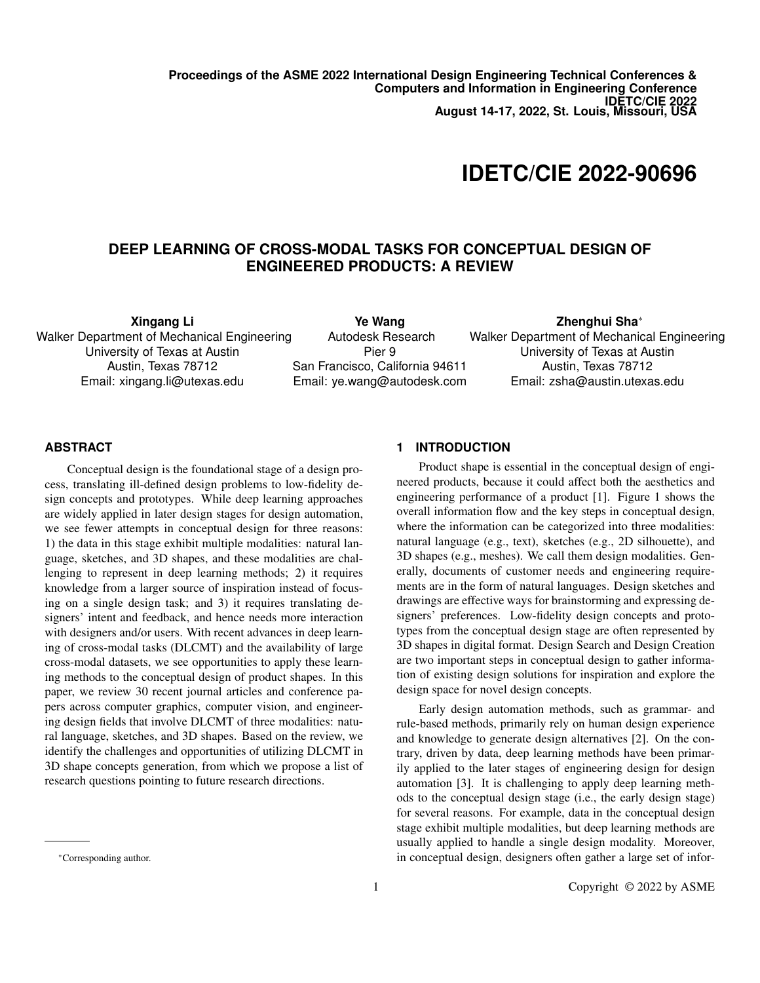**Proceedings of the ASME 2022 International Design Engineering Technical Conferences & Computers and Information in Engineering Conference IDETC/CIE 2022 August 14-17, 2022, St. Louis, Missouri, USA**

# **IDETC/CIE 2022-90696**

## **DEEP LEARNING OF CROSS-MODAL TASKS FOR CONCEPTUAL DESIGN OF ENGINEERED PRODUCTS: A REVIEW**

**Xingang Li**

Walker Department of Mechanical Engineering University of Texas at Austin Austin, Texas 78712 Email: xingang.li@utexas.edu

**Ye Wang** Autodesk Research Pier 9 San Francisco, California 94611 Email: ye.wang@autodesk.com

**Zhenghui Sha**<sup>∗</sup> Walker Department of Mechanical Engineering University of Texas at Austin Austin, Texas 78712

Email: zsha@austin.utexas.edu

#### **ABSTRACT**

Conceptual design is the foundational stage of a design process, translating ill-defined design problems to low-fidelity design concepts and prototypes. While deep learning approaches are widely applied in later design stages for design automation, we see fewer attempts in conceptual design for three reasons: 1) the data in this stage exhibit multiple modalities: natural language, sketches, and 3D shapes, and these modalities are challenging to represent in deep learning methods; 2) it requires knowledge from a larger source of inspiration instead of focusing on a single design task; and 3) it requires translating designers' intent and feedback, and hence needs more interaction with designers and/or users. With recent advances in deep learning of cross-modal tasks (DLCMT) and the availability of large cross-modal datasets, we see opportunities to apply these learning methods to the conceptual design of product shapes. In this paper, we review 30 recent journal articles and conference papers across computer graphics, computer vision, and engineering design fields that involve DLCMT of three modalities: natural language, sketches, and 3D shapes. Based on the review, we identify the challenges and opportunities of utilizing DLCMT in 3D shape concepts generation, from which we propose a list of research questions pointing to future research directions.

#### <sup>∗</sup>Corresponding author.

#### **1 INTRODUCTION**

Product shape is essential in the conceptual design of engineered products, because it could affect both the aesthetics and engineering performance of a product [1]. Figure 1 shows the overall information flow and the key steps in conceptual design, where the information can be categorized into three modalities: natural language (e.g., text), sketches (e.g., 2D silhouette), and 3D shapes (e.g., meshes). We call them design modalities. Generally, documents of customer needs and engineering requirements are in the form of natural languages. Design sketches and drawings are effective ways for brainstorming and expressing designers' preferences. Low-fidelity design concepts and prototypes from the conceptual design stage are often represented by 3D shapes in digital format. Design Search and Design Creation are two important steps in conceptual design to gather information of existing design solutions for inspiration and explore the design space for novel design concepts.

Early design automation methods, such as grammar- and rule-based methods, primarily rely on human design experience and knowledge to generate design alternatives [2]. On the contrary, driven by data, deep learning methods have been primarily applied to the later stages of engineering design for design automation [3]. It is challenging to apply deep learning methods to the conceptual design stage (i.e., the early design stage) for several reasons. For example, data in the conceptual design stage exhibit multiple modalities, but deep learning methods are usually applied to handle a single design modality. Moreover, in conceptual design, designers often gather a large set of infor-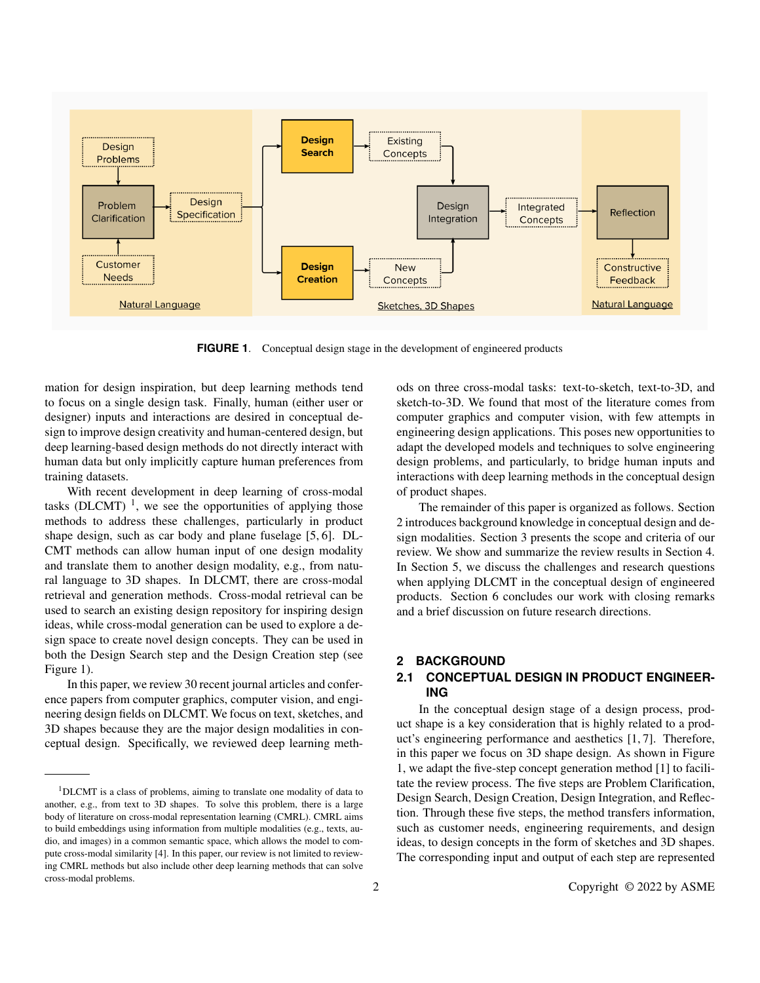

**FIGURE 1.** Conceptual design stage in the development of engineered products

mation for design inspiration, but deep learning methods tend to focus on a single design task. Finally, human (either user or designer) inputs and interactions are desired in conceptual design to improve design creativity and human-centered design, but deep learning-based design methods do not directly interact with human data but only implicitly capture human preferences from training datasets.

With recent development in deep learning of cross-modal tasks (DLCMT)<sup>1</sup>, we see the opportunities of applying those methods to address these challenges, particularly in product shape design, such as car body and plane fuselage [5, 6]. DL-CMT methods can allow human input of one design modality and translate them to another design modality, e.g., from natural language to 3D shapes. In DLCMT, there are cross-modal retrieval and generation methods. Cross-modal retrieval can be used to search an existing design repository for inspiring design ideas, while cross-modal generation can be used to explore a design space to create novel design concepts. They can be used in both the Design Search step and the Design Creation step (see Figure 1).

In this paper, we review 30 recent journal articles and conference papers from computer graphics, computer vision, and engineering design fields on DLCMT. We focus on text, sketches, and 3D shapes because they are the major design modalities in conceptual design. Specifically, we reviewed deep learning methods on three cross-modal tasks: text-to-sketch, text-to-3D, and sketch-to-3D. We found that most of the literature comes from computer graphics and computer vision, with few attempts in engineering design applications. This poses new opportunities to adapt the developed models and techniques to solve engineering design problems, and particularly, to bridge human inputs and interactions with deep learning methods in the conceptual design of product shapes.

The remainder of this paper is organized as follows. Section 2 introduces background knowledge in conceptual design and design modalities. Section 3 presents the scope and criteria of our review. We show and summarize the review results in Section 4. In Section 5, we discuss the challenges and research questions when applying DLCMT in the conceptual design of engineered products. Section 6 concludes our work with closing remarks and a brief discussion on future research directions.

#### **2 BACKGROUND**

### **2.1 CONCEPTUAL DESIGN IN PRODUCT ENGINEER-ING**

In the conceptual design stage of a design process, product shape is a key consideration that is highly related to a product's engineering performance and aesthetics [1, 7]. Therefore, in this paper we focus on 3D shape design. As shown in Figure 1, we adapt the five-step concept generation method [1] to facilitate the review process. The five steps are Problem Clarification, Design Search, Design Creation, Design Integration, and Reflection. Through these five steps, the method transfers information, such as customer needs, engineering requirements, and design ideas, to design concepts in the form of sketches and 3D shapes. The corresponding input and output of each step are represented

<sup>1</sup>DLCMT is a class of problems, aiming to translate one modality of data to another, e.g., from text to 3D shapes. To solve this problem, there is a large body of literature on cross-modal representation learning (CMRL). CMRL aims to build embeddings using information from multiple modalities (e.g., texts, audio, and images) in a common semantic space, which allows the model to compute cross-modal similarity [4]. In this paper, our review is not limited to reviewing CMRL methods but also include other deep learning methods that can solve cross-modal problems.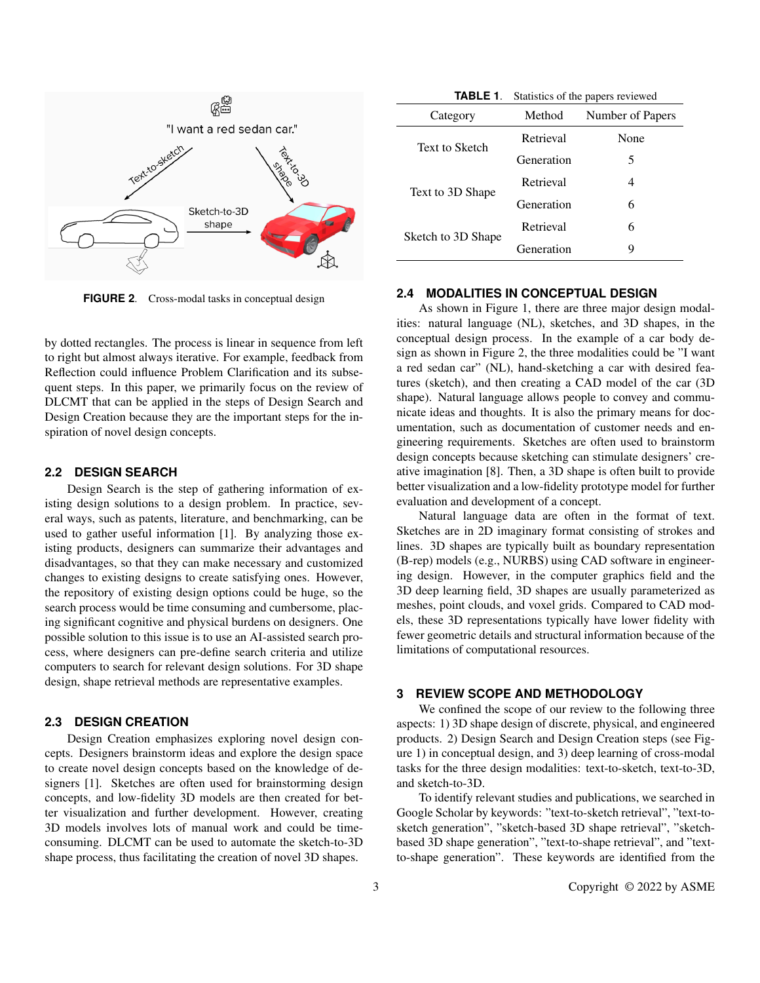

**FIGURE 2**. Cross-modal tasks in conceptual design

by dotted rectangles. The process is linear in sequence from left to right but almost always iterative. For example, feedback from Reflection could influence Problem Clarification and its subsequent steps. In this paper, we primarily focus on the review of DLCMT that can be applied in the steps of Design Search and Design Creation because they are the important steps for the inspiration of novel design concepts.

#### **2.2 DESIGN SEARCH**

Design Search is the step of gathering information of existing design solutions to a design problem. In practice, several ways, such as patents, literature, and benchmarking, can be used to gather useful information [1]. By analyzing those existing products, designers can summarize their advantages and disadvantages, so that they can make necessary and customized changes to existing designs to create satisfying ones. However, the repository of existing design options could be huge, so the search process would be time consuming and cumbersome, placing significant cognitive and physical burdens on designers. One possible solution to this issue is to use an AI-assisted search process, where designers can pre-define search criteria and utilize computers to search for relevant design solutions. For 3D shape design, shape retrieval methods are representative examples.

#### **2.3 DESIGN CREATION**

Design Creation emphasizes exploring novel design concepts. Designers brainstorm ideas and explore the design space to create novel design concepts based on the knowledge of designers [1]. Sketches are often used for brainstorming design concepts, and low-fidelity 3D models are then created for better visualization and further development. However, creating 3D models involves lots of manual work and could be timeconsuming. DLCMT can be used to automate the sketch-to-3D shape process, thus facilitating the creation of novel 3D shapes.

**TABLE 1**. Statistics of the papers reviewed

| Category              | Method     | Number of Papers |
|-----------------------|------------|------------------|
| <b>Text to Sketch</b> | Retrieval  | None             |
|                       | Generation | 5                |
| Text to 3D Shape      | Retrieval  | 4                |
|                       | Generation | 6                |
| Sketch to 3D Shape    | Retrieval  | 6                |
|                       | Generation | y                |

### **2.4 MODALITIES IN CONCEPTUAL DESIGN**

As shown in Figure 1, there are three major design modalities: natural language (NL), sketches, and 3D shapes, in the conceptual design process. In the example of a car body design as shown in Figure 2, the three modalities could be "I want a red sedan car" (NL), hand-sketching a car with desired features (sketch), and then creating a CAD model of the car (3D shape). Natural language allows people to convey and communicate ideas and thoughts. It is also the primary means for documentation, such as documentation of customer needs and engineering requirements. Sketches are often used to brainstorm design concepts because sketching can stimulate designers' creative imagination [8]. Then, a 3D shape is often built to provide better visualization and a low-fidelity prototype model for further evaluation and development of a concept.

Natural language data are often in the format of text. Sketches are in 2D imaginary format consisting of strokes and lines. 3D shapes are typically built as boundary representation (B-rep) models (e.g., NURBS) using CAD software in engineering design. However, in the computer graphics field and the 3D deep learning field, 3D shapes are usually parameterized as meshes, point clouds, and voxel grids. Compared to CAD models, these 3D representations typically have lower fidelity with fewer geometric details and structural information because of the limitations of computational resources.

#### **3 REVIEW SCOPE AND METHODOLOGY**

We confined the scope of our review to the following three aspects: 1) 3D shape design of discrete, physical, and engineered products. 2) Design Search and Design Creation steps (see Figure 1) in conceptual design, and 3) deep learning of cross-modal tasks for the three design modalities: text-to-sketch, text-to-3D, and sketch-to-3D.

To identify relevant studies and publications, we searched in Google Scholar by keywords: "text-to-sketch retrieval", "text-tosketch generation", "sketch-based 3D shape retrieval", "sketchbased 3D shape generation", "text-to-shape retrieval", and "textto-shape generation". These keywords are identified from the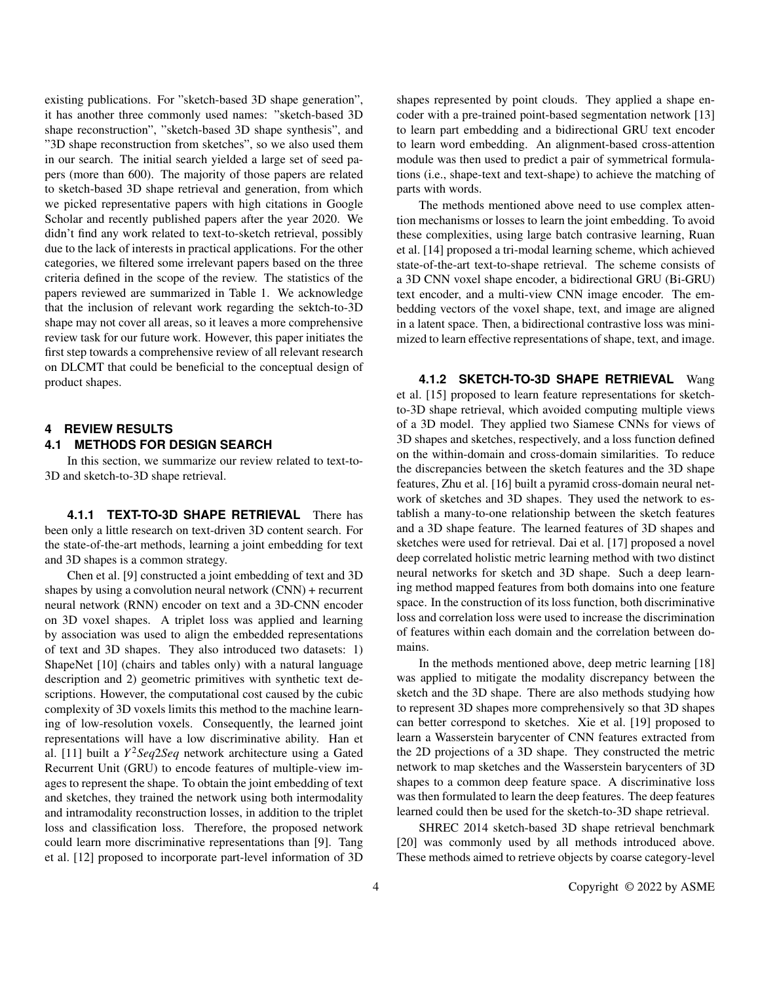existing publications. For "sketch-based 3D shape generation", it has another three commonly used names: "sketch-based 3D shape reconstruction", "sketch-based 3D shape synthesis", and "3D shape reconstruction from sketches", so we also used them in our search. The initial search yielded a large set of seed papers (more than 600). The majority of those papers are related to sketch-based 3D shape retrieval and generation, from which we picked representative papers with high citations in Google Scholar and recently published papers after the year 2020. We didn't find any work related to text-to-sketch retrieval, possibly due to the lack of interests in practical applications. For the other categories, we filtered some irrelevant papers based on the three criteria defined in the scope of the review. The statistics of the papers reviewed are summarized in Table 1. We acknowledge that the inclusion of relevant work regarding the sektch-to-3D shape may not cover all areas, so it leaves a more comprehensive review task for our future work. However, this paper initiates the first step towards a comprehensive review of all relevant research on DLCMT that could be beneficial to the conceptual design of product shapes.

#### **4 REVIEW RESULTS 4.1 METHODS FOR DESIGN SEARCH**

In this section, we summarize our review related to text-to-3D and sketch-to-3D shape retrieval.

**4.1.1 TEXT-TO-3D SHAPE RETRIEVAL** There has been only a little research on text-driven 3D content search. For the state-of-the-art methods, learning a joint embedding for text and 3D shapes is a common strategy.

Chen et al. [9] constructed a joint embedding of text and 3D shapes by using a convolution neural network (CNN) + recurrent neural network (RNN) encoder on text and a 3D-CNN encoder on 3D voxel shapes. A triplet loss was applied and learning by association was used to align the embedded representations of text and 3D shapes. They also introduced two datasets: 1) ShapeNet [10] (chairs and tables only) with a natural language description and 2) geometric primitives with synthetic text descriptions. However, the computational cost caused by the cubic complexity of 3D voxels limits this method to the machine learning of low-resolution voxels. Consequently, the learned joint representations will have a low discriminative ability. Han et al. [11] built a *Y* <sup>2</sup>*Seq*2*Seq* network architecture using a Gated Recurrent Unit (GRU) to encode features of multiple-view images to represent the shape. To obtain the joint embedding of text and sketches, they trained the network using both intermodality and intramodality reconstruction losses, in addition to the triplet loss and classification loss. Therefore, the proposed network could learn more discriminative representations than [9]. Tang et al. [12] proposed to incorporate part-level information of 3D

shapes represented by point clouds. They applied a shape encoder with a pre-trained point-based segmentation network [13] to learn part embedding and a bidirectional GRU text encoder to learn word embedding. An alignment-based cross-attention module was then used to predict a pair of symmetrical formulations (i.e., shape-text and text-shape) to achieve the matching of parts with words.

The methods mentioned above need to use complex attention mechanisms or losses to learn the joint embedding. To avoid these complexities, using large batch contrasive learning, Ruan et al. [14] proposed a tri-modal learning scheme, which achieved state-of-the-art text-to-shape retrieval. The scheme consists of a 3D CNN voxel shape encoder, a bidirectional GRU (Bi-GRU) text encoder, and a multi-view CNN image encoder. The embedding vectors of the voxel shape, text, and image are aligned in a latent space. Then, a bidirectional contrastive loss was minimized to learn effective representations of shape, text, and image.

**4.1.2 SKETCH-TO-3D SHAPE RETRIEVAL** Wang et al. [15] proposed to learn feature representations for sketchto-3D shape retrieval, which avoided computing multiple views of a 3D model. They applied two Siamese CNNs for views of 3D shapes and sketches, respectively, and a loss function defined on the within-domain and cross-domain similarities. To reduce the discrepancies between the sketch features and the 3D shape features, Zhu et al. [16] built a pyramid cross-domain neural network of sketches and 3D shapes. They used the network to establish a many-to-one relationship between the sketch features and a 3D shape feature. The learned features of 3D shapes and sketches were used for retrieval. Dai et al. [17] proposed a novel deep correlated holistic metric learning method with two distinct neural networks for sketch and 3D shape. Such a deep learning method mapped features from both domains into one feature space. In the construction of its loss function, both discriminative loss and correlation loss were used to increase the discrimination of features within each domain and the correlation between domains.

In the methods mentioned above, deep metric learning [18] was applied to mitigate the modality discrepancy between the sketch and the 3D shape. There are also methods studying how to represent 3D shapes more comprehensively so that 3D shapes can better correspond to sketches. Xie et al. [19] proposed to learn a Wasserstein barycenter of CNN features extracted from the 2D projections of a 3D shape. They constructed the metric network to map sketches and the Wasserstein barycenters of 3D shapes to a common deep feature space. A discriminative loss was then formulated to learn the deep features. The deep features learned could then be used for the sketch-to-3D shape retrieval.

SHREC 2014 sketch-based 3D shape retrieval benchmark [20] was commonly used by all methods introduced above. These methods aimed to retrieve objects by coarse category-level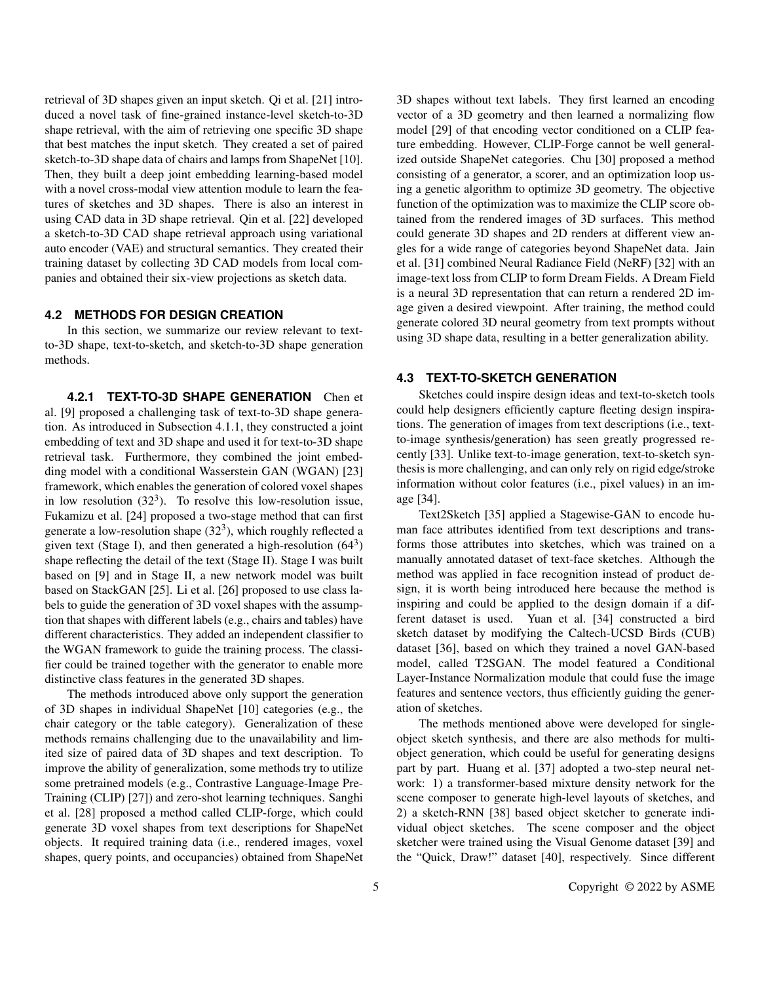retrieval of 3D shapes given an input sketch. Qi et al. [21] introduced a novel task of fine-grained instance-level sketch-to-3D shape retrieval, with the aim of retrieving one specific 3D shape that best matches the input sketch. They created a set of paired sketch-to-3D shape data of chairs and lamps from ShapeNet [10]. Then, they built a deep joint embedding learning-based model with a novel cross-modal view attention module to learn the features of sketches and 3D shapes. There is also an interest in using CAD data in 3D shape retrieval. Qin et al. [22] developed a sketch-to-3D CAD shape retrieval approach using variational auto encoder (VAE) and structural semantics. They created their training dataset by collecting 3D CAD models from local companies and obtained their six-view projections as sketch data.

#### **4.2 METHODS FOR DESIGN CREATION**

In this section, we summarize our review relevant to textto-3D shape, text-to-sketch, and sketch-to-3D shape generation methods.

**4.2.1 TEXT-TO-3D SHAPE GENERATION** Chen et al. [9] proposed a challenging task of text-to-3D shape generation. As introduced in Subsection 4.1.1, they constructed a joint embedding of text and 3D shape and used it for text-to-3D shape retrieval task. Furthermore, they combined the joint embedding model with a conditional Wasserstein GAN (WGAN) [23] framework, which enables the generation of colored voxel shapes in low resolution  $(32<sup>3</sup>)$ . To resolve this low-resolution issue, Fukamizu et al. [24] proposed a two-stage method that can first generate a low-resolution shape  $(32<sup>3</sup>)$ , which roughly reflected a given text (Stage I), and then generated a high-resolution  $(64^3)$ shape reflecting the detail of the text (Stage II). Stage I was built based on [9] and in Stage II, a new network model was built based on StackGAN [25]. Li et al. [26] proposed to use class labels to guide the generation of 3D voxel shapes with the assumption that shapes with different labels (e.g., chairs and tables) have different characteristics. They added an independent classifier to the WGAN framework to guide the training process. The classifier could be trained together with the generator to enable more distinctive class features in the generated 3D shapes.

The methods introduced above only support the generation of 3D shapes in individual ShapeNet [10] categories (e.g., the chair category or the table category). Generalization of these methods remains challenging due to the unavailability and limited size of paired data of 3D shapes and text description. To improve the ability of generalization, some methods try to utilize some pretrained models (e.g., Contrastive Language-Image Pre-Training (CLIP) [27]) and zero-shot learning techniques. Sanghi et al. [28] proposed a method called CLIP-forge, which could generate 3D voxel shapes from text descriptions for ShapeNet objects. It required training data (i.e., rendered images, voxel shapes, query points, and occupancies) obtained from ShapeNet

3D shapes without text labels. They first learned an encoding vector of a 3D geometry and then learned a normalizing flow model [29] of that encoding vector conditioned on a CLIP feature embedding. However, CLIP-Forge cannot be well generalized outside ShapeNet categories. Chu [30] proposed a method consisting of a generator, a scorer, and an optimization loop using a genetic algorithm to optimize 3D geometry. The objective function of the optimization was to maximize the CLIP score obtained from the rendered images of 3D surfaces. This method could generate 3D shapes and 2D renders at different view angles for a wide range of categories beyond ShapeNet data. Jain et al. [31] combined Neural Radiance Field (NeRF) [32] with an image-text loss from CLIP to form Dream Fields. A Dream Field is a neural 3D representation that can return a rendered 2D image given a desired viewpoint. After training, the method could generate colored 3D neural geometry from text prompts without using 3D shape data, resulting in a better generalization ability.

#### **4.3 TEXT-TO-SKETCH GENERATION**

Sketches could inspire design ideas and text-to-sketch tools could help designers efficiently capture fleeting design inspirations. The generation of images from text descriptions (i.e., textto-image synthesis/generation) has seen greatly progressed recently [33]. Unlike text-to-image generation, text-to-sketch synthesis is more challenging, and can only rely on rigid edge/stroke information without color features (i.e., pixel values) in an image [34].

Text2Sketch [35] applied a Stagewise-GAN to encode human face attributes identified from text descriptions and transforms those attributes into sketches, which was trained on a manually annotated dataset of text-face sketches. Although the method was applied in face recognition instead of product design, it is worth being introduced here because the method is inspiring and could be applied to the design domain if a different dataset is used. Yuan et al. [34] constructed a bird sketch dataset by modifying the Caltech-UCSD Birds (CUB) dataset [36], based on which they trained a novel GAN-based model, called T2SGAN. The model featured a Conditional Layer-Instance Normalization module that could fuse the image features and sentence vectors, thus efficiently guiding the generation of sketches.

The methods mentioned above were developed for singleobject sketch synthesis, and there are also methods for multiobject generation, which could be useful for generating designs part by part. Huang et al. [37] adopted a two-step neural network: 1) a transformer-based mixture density network for the scene composer to generate high-level layouts of sketches, and 2) a sketch-RNN [38] based object sketcher to generate individual object sketches. The scene composer and the object sketcher were trained using the Visual Genome dataset [39] and the "Quick, Draw!" dataset [40], respectively. Since different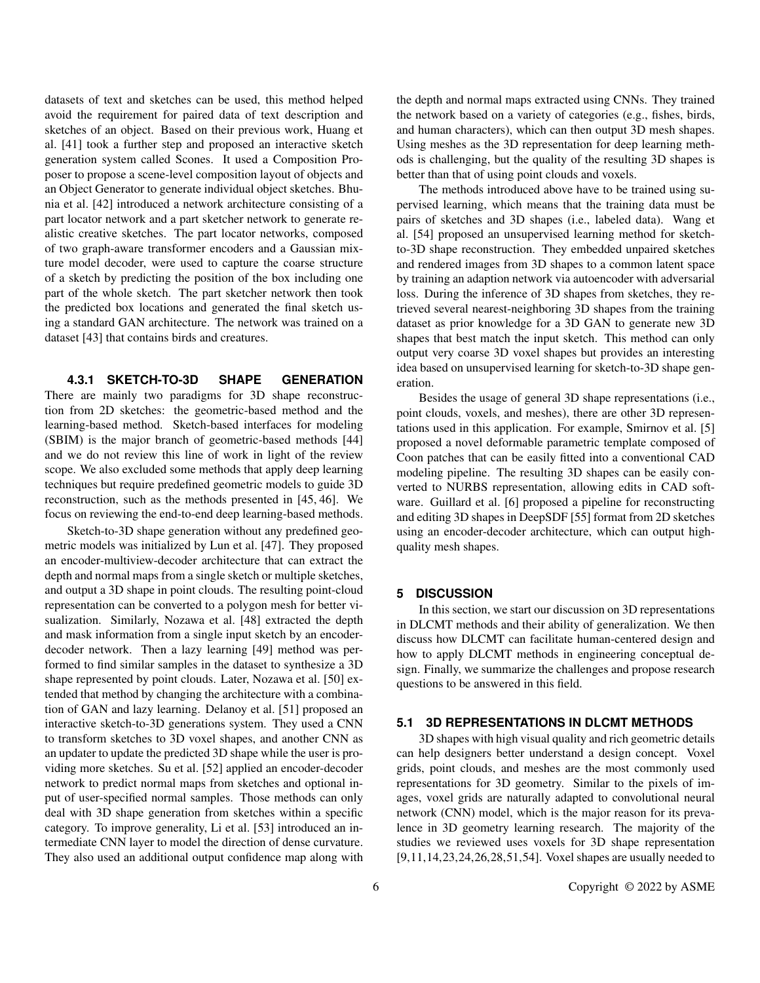datasets of text and sketches can be used, this method helped avoid the requirement for paired data of text description and sketches of an object. Based on their previous work, Huang et al. [41] took a further step and proposed an interactive sketch generation system called Scones. It used a Composition Proposer to propose a scene-level composition layout of objects and an Object Generator to generate individual object sketches. Bhunia et al. [42] introduced a network architecture consisting of a part locator network and a part sketcher network to generate realistic creative sketches. The part locator networks, composed of two graph-aware transformer encoders and a Gaussian mixture model decoder, were used to capture the coarse structure of a sketch by predicting the position of the box including one part of the whole sketch. The part sketcher network then took the predicted box locations and generated the final sketch using a standard GAN architecture. The network was trained on a dataset [43] that contains birds and creatures.

#### **4.3.1 SKETCH-TO-3D SHAPE GENERATION**

There are mainly two paradigms for 3D shape reconstruction from 2D sketches: the geometric-based method and the learning-based method. Sketch-based interfaces for modeling (SBIM) is the major branch of geometric-based methods [44] and we do not review this line of work in light of the review scope. We also excluded some methods that apply deep learning techniques but require predefined geometric models to guide 3D reconstruction, such as the methods presented in [45, 46]. We focus on reviewing the end-to-end deep learning-based methods.

Sketch-to-3D shape generation without any predefined geometric models was initialized by Lun et al. [47]. They proposed an encoder-multiview-decoder architecture that can extract the depth and normal maps from a single sketch or multiple sketches, and output a 3D shape in point clouds. The resulting point-cloud representation can be converted to a polygon mesh for better visualization. Similarly, Nozawa et al. [48] extracted the depth and mask information from a single input sketch by an encoderdecoder network. Then a lazy learning [49] method was performed to find similar samples in the dataset to synthesize a 3D shape represented by point clouds. Later, Nozawa et al. [50] extended that method by changing the architecture with a combination of GAN and lazy learning. Delanoy et al. [51] proposed an interactive sketch-to-3D generations system. They used a CNN to transform sketches to 3D voxel shapes, and another CNN as an updater to update the predicted 3D shape while the user is providing more sketches. Su et al. [52] applied an encoder-decoder network to predict normal maps from sketches and optional input of user-specified normal samples. Those methods can only deal with 3D shape generation from sketches within a specific category. To improve generality, Li et al. [53] introduced an intermediate CNN layer to model the direction of dense curvature. They also used an additional output confidence map along with the depth and normal maps extracted using CNNs. They trained the network based on a variety of categories (e.g., fishes, birds, and human characters), which can then output 3D mesh shapes. Using meshes as the 3D representation for deep learning methods is challenging, but the quality of the resulting 3D shapes is better than that of using point clouds and voxels.

The methods introduced above have to be trained using supervised learning, which means that the training data must be pairs of sketches and 3D shapes (i.e., labeled data). Wang et al. [54] proposed an unsupervised learning method for sketchto-3D shape reconstruction. They embedded unpaired sketches and rendered images from 3D shapes to a common latent space by training an adaption network via autoencoder with adversarial loss. During the inference of 3D shapes from sketches, they retrieved several nearest-neighboring 3D shapes from the training dataset as prior knowledge for a 3D GAN to generate new 3D shapes that best match the input sketch. This method can only output very coarse 3D voxel shapes but provides an interesting idea based on unsupervised learning for sketch-to-3D shape generation.

Besides the usage of general 3D shape representations (i.e., point clouds, voxels, and meshes), there are other 3D representations used in this application. For example, Smirnov et al. [5] proposed a novel deformable parametric template composed of Coon patches that can be easily fitted into a conventional CAD modeling pipeline. The resulting 3D shapes can be easily converted to NURBS representation, allowing edits in CAD software. Guillard et al. [6] proposed a pipeline for reconstructing and editing 3D shapes in DeepSDF [55] format from 2D sketches using an encoder-decoder architecture, which can output highquality mesh shapes.

#### **5 DISCUSSION**

In this section, we start our discussion on 3D representations in DLCMT methods and their ability of generalization. We then discuss how DLCMT can facilitate human-centered design and how to apply DLCMT methods in engineering conceptual design. Finally, we summarize the challenges and propose research questions to be answered in this field.

#### **5.1 3D REPRESENTATIONS IN DLCMT METHODS**

3D shapes with high visual quality and rich geometric details can help designers better understand a design concept. Voxel grids, point clouds, and meshes are the most commonly used representations for 3D geometry. Similar to the pixels of images, voxel grids are naturally adapted to convolutional neural network (CNN) model, which is the major reason for its prevalence in 3D geometry learning research. The majority of the studies we reviewed uses voxels for 3D shape representation [9,11,14,23,24,26,28,51,54]. Voxel shapes are usually needed to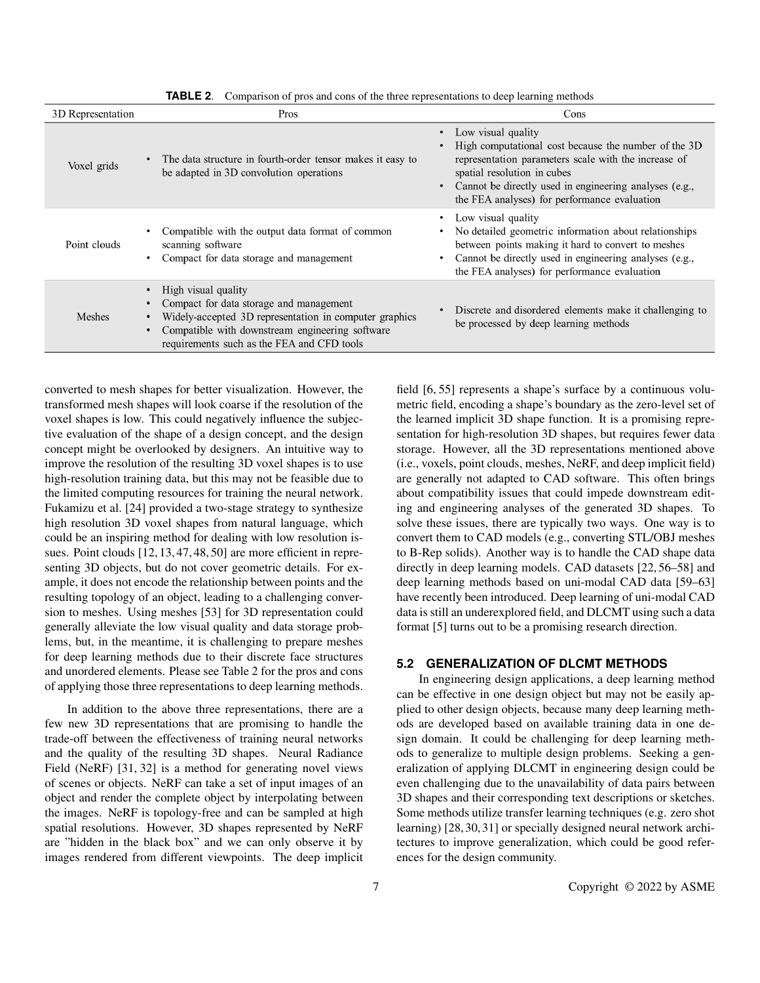| 3D Representation | Pros                                                                                                                                                                                                                                   | Cons                                                                                                                                                                                                                                                                        |
|-------------------|----------------------------------------------------------------------------------------------------------------------------------------------------------------------------------------------------------------------------------------|-----------------------------------------------------------------------------------------------------------------------------------------------------------------------------------------------------------------------------------------------------------------------------|
| Voxel grids       | The data structure in fourth-order tensor makes it easy to<br>be adapted in 3D convolution operations                                                                                                                                  | Low visual quality<br>High computational cost because the number of the 3D<br>representation parameters scale with the increase of<br>spatial resolution in cubes<br>Cannot be directly used in engineering analyses (e.g.,<br>the FEA analyses) for performance evaluation |
| Point clouds      | Compatible with the output data format of common<br>scanning software<br>Compact for data storage and management                                                                                                                       | Low visual quality<br>No detailed geometric information about relationships<br>between points making it hard to convert to meshes<br>Cannot be directly used in engineering analyses (e.g.,<br>the FEA analyses) for performance evaluation                                 |
| <b>Meshes</b>     | High visual quality<br>$\bullet$<br>Compact for data storage and management<br>Widely-accepted 3D representation in computer graphics<br>Compatible with downstream engineering software<br>requirements such as the FEA and CFD tools | Discrete and disordered elements make it challenging to<br>be processed by deep learning methods                                                                                                                                                                            |

**TABLE 2**. Comparison of pros and cons of the three representations to deep learning methods

converted to mesh shapes for better visualization. However, the transformed mesh shapes will look coarse if the resolution of the voxel shapes is low. This could negatively influence the subjective evaluation of the shape of a design concept, and the design concept might be overlooked by designers. An intuitive way to improve the resolution of the resulting 3D voxel shapes is to use high-resolution training data, but this may not be feasible due to the limited computing resources for training the neural network. Fukamizu et al. [24] provided a two-stage strategy to synthesize high resolution 3D voxel shapes from natural language, which could be an inspiring method for dealing with low resolution issues. Point clouds [12, 13, 47, 48, 50] are more efficient in representing 3D objects, but do not cover geometric details. For example, it does not encode the relationship between points and the resulting topology of an object, leading to a challenging conversion to meshes. Using meshes [53] for 3D representation could generally alleviate the low visual quality and data storage problems, but, in the meantime, it is challenging to prepare meshes for deep learning methods due to their discrete face structures and unordered elements. Please see Table 2 for the pros and cons of applying those three representations to deep learning methods.

In addition to the above three representations, there are a few new 3D representations that are promising to handle the trade-off between the effectiveness of training neural networks and the quality of the resulting 3D shapes. Neural Radiance Field (NeRF) [31, 32] is a method for generating novel views of scenes or objects. NeRF can take a set of input images of an object and render the complete object by interpolating between the images. NeRF is topology-free and can be sampled at high spatial resolutions. However, 3D shapes represented by NeRF are "hidden in the black box" and we can only observe it by images rendered from different viewpoints. The deep implicit

field [6, 55] represents a shape's surface by a continuous volumetric field, encoding a shape's boundary as the zero-level set of the learned implicit 3D shape function. It is a promising representation for high-resolution 3D shapes, but requires fewer data storage. However, all the 3D representations mentioned above (i.e., voxels, point clouds, meshes, NeRF, and deep implicit field) are generally not adapted to CAD software. This often brings about compatibility issues that could impede downstream editing and engineering analyses of the generated 3D shapes. To solve these issues, there are typically two ways. One way is to convert them to CAD models (e.g., converting STL/OBJ meshes to B-Rep solids). Another way is to handle the CAD shape data directly in deep learning models. CAD datasets [22, 56–58] and deep learning methods based on uni-modal CAD data [59–63] have recently been introduced. Deep learning of uni-modal CAD data is still an underexplored field, and DLCMT using such a data format [5] turns out to be a promising research direction.

#### **5.2 GENERALIZATION OF DLCMT METHODS**

In engineering design applications, a deep learning method can be effective in one design object but may not be easily applied to other design objects, because many deep learning methods are developed based on available training data in one design domain. It could be challenging for deep learning methods to generalize to multiple design problems. Seeking a generalization of applying DLCMT in engineering design could be even challenging due to the unavailability of data pairs between 3D shapes and their corresponding text descriptions or sketches. Some methods utilize transfer learning techniques (e.g. zero shot learning) [28,30,31] or specially designed neural network architectures to improve generalization, which could be good references for the design community.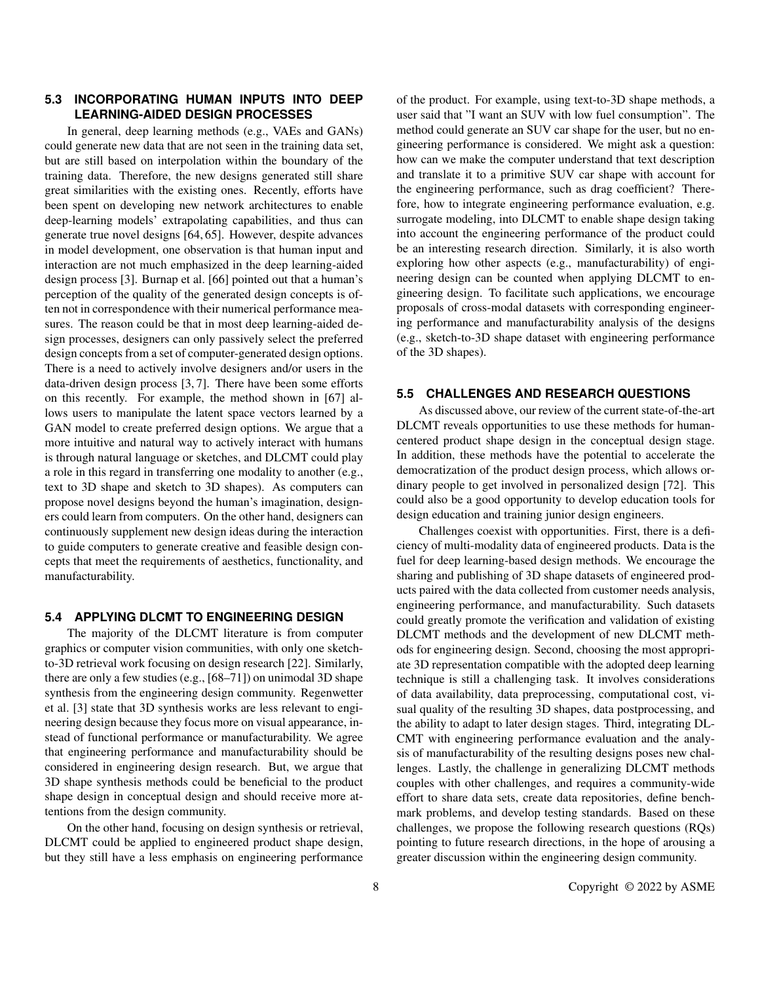#### **5.3 INCORPORATING HUMAN INPUTS INTO DEEP LEARNING-AIDED DESIGN PROCESSES**

In general, deep learning methods (e.g., VAEs and GANs) could generate new data that are not seen in the training data set, but are still based on interpolation within the boundary of the training data. Therefore, the new designs generated still share great similarities with the existing ones. Recently, efforts have been spent on developing new network architectures to enable deep-learning models' extrapolating capabilities, and thus can generate true novel designs [64, 65]. However, despite advances in model development, one observation is that human input and interaction are not much emphasized in the deep learning-aided design process [3]. Burnap et al. [66] pointed out that a human's perception of the quality of the generated design concepts is often not in correspondence with their numerical performance measures. The reason could be that in most deep learning-aided design processes, designers can only passively select the preferred design concepts from a set of computer-generated design options. There is a need to actively involve designers and/or users in the data-driven design process [3, 7]. There have been some efforts on this recently. For example, the method shown in [67] allows users to manipulate the latent space vectors learned by a GAN model to create preferred design options. We argue that a more intuitive and natural way to actively interact with humans is through natural language or sketches, and DLCMT could play a role in this regard in transferring one modality to another (e.g., text to 3D shape and sketch to 3D shapes). As computers can propose novel designs beyond the human's imagination, designers could learn from computers. On the other hand, designers can continuously supplement new design ideas during the interaction to guide computers to generate creative and feasible design concepts that meet the requirements of aesthetics, functionality, and manufacturability.

#### **5.4 APPLYING DLCMT TO ENGINEERING DESIGN**

The majority of the DLCMT literature is from computer graphics or computer vision communities, with only one sketchto-3D retrieval work focusing on design research [22]. Similarly, there are only a few studies (e.g., [68–71]) on unimodal 3D shape synthesis from the engineering design community. Regenwetter et al. [3] state that 3D synthesis works are less relevant to engineering design because they focus more on visual appearance, instead of functional performance or manufacturability. We agree that engineering performance and manufacturability should be considered in engineering design research. But, we argue that 3D shape synthesis methods could be beneficial to the product shape design in conceptual design and should receive more attentions from the design community.

On the other hand, focusing on design synthesis or retrieval, DLCMT could be applied to engineered product shape design, but they still have a less emphasis on engineering performance of the product. For example, using text-to-3D shape methods, a user said that "I want an SUV with low fuel consumption". The method could generate an SUV car shape for the user, but no engineering performance is considered. We might ask a question: how can we make the computer understand that text description and translate it to a primitive SUV car shape with account for the engineering performance, such as drag coefficient? Therefore, how to integrate engineering performance evaluation, e.g. surrogate modeling, into DLCMT to enable shape design taking into account the engineering performance of the product could be an interesting research direction. Similarly, it is also worth exploring how other aspects (e.g., manufacturability) of engineering design can be counted when applying DLCMT to engineering design. To facilitate such applications, we encourage proposals of cross-modal datasets with corresponding engineering performance and manufacturability analysis of the designs (e.g., sketch-to-3D shape dataset with engineering performance of the 3D shapes).

#### **5.5 CHALLENGES AND RESEARCH QUESTIONS**

As discussed above, our review of the current state-of-the-art DLCMT reveals opportunities to use these methods for humancentered product shape design in the conceptual design stage. In addition, these methods have the potential to accelerate the democratization of the product design process, which allows ordinary people to get involved in personalized design [72]. This could also be a good opportunity to develop education tools for design education and training junior design engineers.

Challenges coexist with opportunities. First, there is a deficiency of multi-modality data of engineered products. Data is the fuel for deep learning-based design methods. We encourage the sharing and publishing of 3D shape datasets of engineered products paired with the data collected from customer needs analysis, engineering performance, and manufacturability. Such datasets could greatly promote the verification and validation of existing DLCMT methods and the development of new DLCMT methods for engineering design. Second, choosing the most appropriate 3D representation compatible with the adopted deep learning technique is still a challenging task. It involves considerations of data availability, data preprocessing, computational cost, visual quality of the resulting 3D shapes, data postprocessing, and the ability to adapt to later design stages. Third, integrating DL-CMT with engineering performance evaluation and the analysis of manufacturability of the resulting designs poses new challenges. Lastly, the challenge in generalizing DLCMT methods couples with other challenges, and requires a community-wide effort to share data sets, create data repositories, define benchmark problems, and develop testing standards. Based on these challenges, we propose the following research questions (RQs) pointing to future research directions, in the hope of arousing a greater discussion within the engineering design community.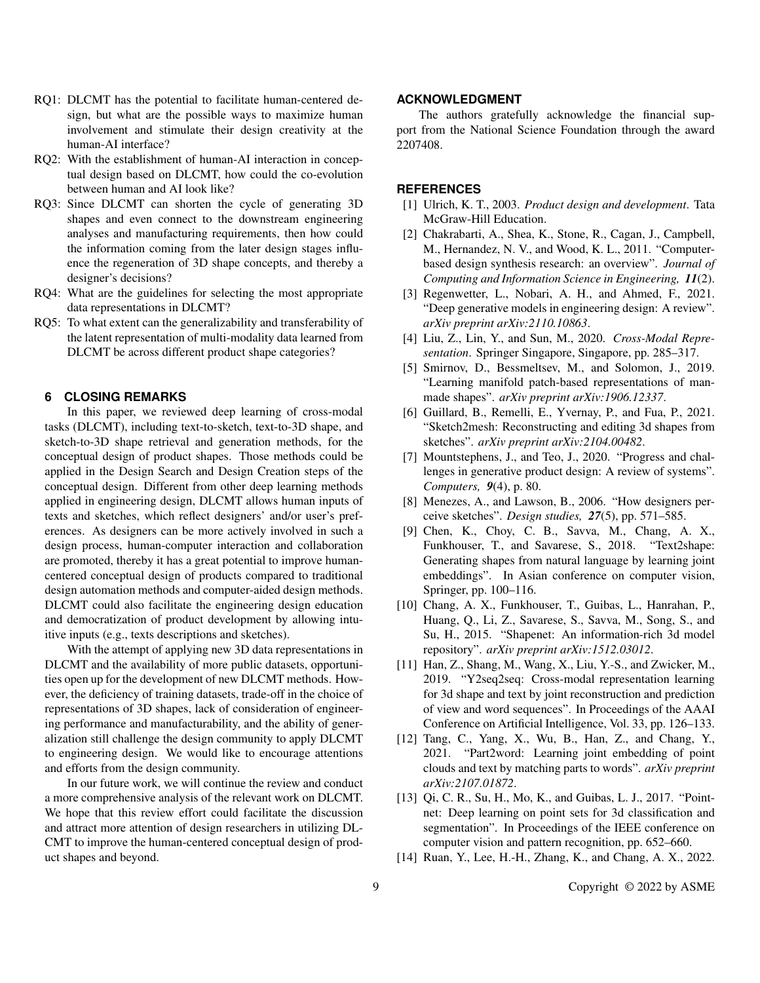- RQ1: DLCMT has the potential to facilitate human-centered design, but what are the possible ways to maximize human involvement and stimulate their design creativity at the human-AI interface?
- RQ2: With the establishment of human-AI interaction in conceptual design based on DLCMT, how could the co-evolution between human and AI look like?
- RQ3: Since DLCMT can shorten the cycle of generating 3D shapes and even connect to the downstream engineering analyses and manufacturing requirements, then how could the information coming from the later design stages influence the regeneration of 3D shape concepts, and thereby a designer's decisions?
- RQ4: What are the guidelines for selecting the most appropriate data representations in DLCMT?
- RQ5: To what extent can the generalizability and transferability of the latent representation of multi-modality data learned from DLCMT be across different product shape categories?

#### **6 CLOSING REMARKS**

In this paper, we reviewed deep learning of cross-modal tasks (DLCMT), including text-to-sketch, text-to-3D shape, and sketch-to-3D shape retrieval and generation methods, for the conceptual design of product shapes. Those methods could be applied in the Design Search and Design Creation steps of the conceptual design. Different from other deep learning methods applied in engineering design, DLCMT allows human inputs of texts and sketches, which reflect designers' and/or user's preferences. As designers can be more actively involved in such a design process, human-computer interaction and collaboration are promoted, thereby it has a great potential to improve humancentered conceptual design of products compared to traditional design automation methods and computer-aided design methods. DLCMT could also facilitate the engineering design education and democratization of product development by allowing intuitive inputs (e.g., texts descriptions and sketches).

With the attempt of applying new 3D data representations in DLCMT and the availability of more public datasets, opportunities open up for the development of new DLCMT methods. However, the deficiency of training datasets, trade-off in the choice of representations of 3D shapes, lack of consideration of engineering performance and manufacturability, and the ability of generalization still challenge the design community to apply DLCMT to engineering design. We would like to encourage attentions and efforts from the design community.

In our future work, we will continue the review and conduct a more comprehensive analysis of the relevant work on DLCMT. We hope that this review effort could facilitate the discussion and attract more attention of design researchers in utilizing DL-CMT to improve the human-centered conceptual design of product shapes and beyond.

#### **ACKNOWLEDGMENT**

The authors gratefully acknowledge the financial support from the National Science Foundation through the award 2207408.

#### **REFERENCES**

- [1] Ulrich, K. T., 2003. *Product design and development*. Tata McGraw-Hill Education.
- [2] Chakrabarti, A., Shea, K., Stone, R., Cagan, J., Campbell, M., Hernandez, N. V., and Wood, K. L., 2011. "Computerbased design synthesis research: an overview". *Journal of Computing and Information Science in Engineering, 11*(2).
- [3] Regenwetter, L., Nobari, A. H., and Ahmed, F., 2021. "Deep generative models in engineering design: A review". *arXiv preprint arXiv:2110.10863*.
- [4] Liu, Z., Lin, Y., and Sun, M., 2020. *Cross-Modal Representation*. Springer Singapore, Singapore, pp. 285–317.
- [5] Smirnov, D., Bessmeltsev, M., and Solomon, J., 2019. "Learning manifold patch-based representations of manmade shapes". *arXiv preprint arXiv:1906.12337*.
- [6] Guillard, B., Remelli, E., Yvernay, P., and Fua, P., 2021. "Sketch2mesh: Reconstructing and editing 3d shapes from sketches". *arXiv preprint arXiv:2104.00482*.
- [7] Mountstephens, J., and Teo, J., 2020. "Progress and challenges in generative product design: A review of systems". *Computers, 9*(4), p. 80.
- [8] Menezes, A., and Lawson, B., 2006. "How designers perceive sketches". *Design studies, 27*(5), pp. 571–585.
- [9] Chen, K., Choy, C. B., Savva, M., Chang, A. X., Funkhouser, T., and Savarese, S., 2018. "Text2shape: Generating shapes from natural language by learning joint embeddings". In Asian conference on computer vision, Springer, pp. 100–116.
- [10] Chang, A. X., Funkhouser, T., Guibas, L., Hanrahan, P., Huang, Q., Li, Z., Savarese, S., Savva, M., Song, S., and Su, H., 2015. "Shapenet: An information-rich 3d model repository". *arXiv preprint arXiv:1512.03012*.
- [11] Han, Z., Shang, M., Wang, X., Liu, Y.-S., and Zwicker, M., 2019. "Y2seq2seq: Cross-modal representation learning for 3d shape and text by joint reconstruction and prediction of view and word sequences". In Proceedings of the AAAI Conference on Artificial Intelligence, Vol. 33, pp. 126–133.
- [12] Tang, C., Yang, X., Wu, B., Han, Z., and Chang, Y., 2021. "Part2word: Learning joint embedding of point clouds and text by matching parts to words". *arXiv preprint arXiv:2107.01872*.
- [13] Qi, C. R., Su, H., Mo, K., and Guibas, L. J., 2017. "Pointnet: Deep learning on point sets for 3d classification and segmentation". In Proceedings of the IEEE conference on computer vision and pattern recognition, pp. 652–660.
- [14] Ruan, Y., Lee, H.-H., Zhang, K., and Chang, A. X., 2022.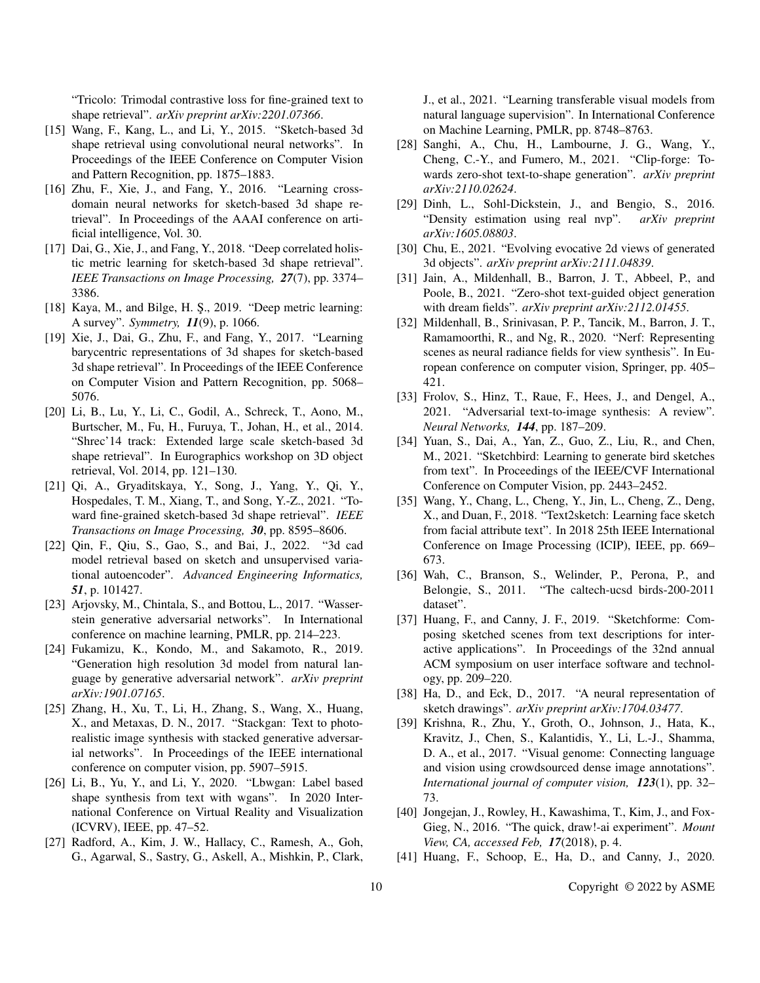"Tricolo: Trimodal contrastive loss for fine-grained text to shape retrieval". *arXiv preprint arXiv:2201.07366*.

- [15] Wang, F., Kang, L., and Li, Y., 2015. "Sketch-based 3d shape retrieval using convolutional neural networks". In Proceedings of the IEEE Conference on Computer Vision and Pattern Recognition, pp. 1875–1883.
- [16] Zhu, F., Xie, J., and Fang, Y., 2016. "Learning crossdomain neural networks for sketch-based 3d shape retrieval". In Proceedings of the AAAI conference on artificial intelligence, Vol. 30.
- [17] Dai, G., Xie, J., and Fang, Y., 2018. "Deep correlated holistic metric learning for sketch-based 3d shape retrieval". *IEEE Transactions on Image Processing, 27*(7), pp. 3374– 3386.
- [18] Kaya, M., and Bilge, H. Ş., 2019. "Deep metric learning: A survey". *Symmetry, 11*(9), p. 1066.
- [19] Xie, J., Dai, G., Zhu, F., and Fang, Y., 2017. "Learning barycentric representations of 3d shapes for sketch-based 3d shape retrieval". In Proceedings of the IEEE Conference on Computer Vision and Pattern Recognition, pp. 5068– 5076.
- [20] Li, B., Lu, Y., Li, C., Godil, A., Schreck, T., Aono, M., Burtscher, M., Fu, H., Furuya, T., Johan, H., et al., 2014. "Shrec'14 track: Extended large scale sketch-based 3d shape retrieval". In Eurographics workshop on 3D object retrieval, Vol. 2014, pp. 121–130.
- [21] Qi, A., Gryaditskaya, Y., Song, J., Yang, Y., Qi, Y., Hospedales, T. M., Xiang, T., and Song, Y.-Z., 2021. "Toward fine-grained sketch-based 3d shape retrieval". *IEEE Transactions on Image Processing, 30*, pp. 8595–8606.
- [22] Qin, F., Qiu, S., Gao, S., and Bai, J., 2022. "3d cad model retrieval based on sketch and unsupervised variational autoencoder". *Advanced Engineering Informatics, 51*, p. 101427.
- [23] Arjovsky, M., Chintala, S., and Bottou, L., 2017. "Wasserstein generative adversarial networks". In International conference on machine learning, PMLR, pp. 214–223.
- [24] Fukamizu, K., Kondo, M., and Sakamoto, R., 2019. "Generation high resolution 3d model from natural language by generative adversarial network". *arXiv preprint arXiv:1901.07165*.
- [25] Zhang, H., Xu, T., Li, H., Zhang, S., Wang, X., Huang, X., and Metaxas, D. N., 2017. "Stackgan: Text to photorealistic image synthesis with stacked generative adversarial networks". In Proceedings of the IEEE international conference on computer vision, pp. 5907–5915.
- [26] Li, B., Yu, Y., and Li, Y., 2020. "Lbwgan: Label based shape synthesis from text with wgans". In 2020 International Conference on Virtual Reality and Visualization (ICVRV), IEEE, pp. 47–52.
- [27] Radford, A., Kim, J. W., Hallacy, C., Ramesh, A., Goh, G., Agarwal, S., Sastry, G., Askell, A., Mishkin, P., Clark,

J., et al., 2021. "Learning transferable visual models from natural language supervision". In International Conference on Machine Learning, PMLR, pp. 8748–8763.

- [28] Sanghi, A., Chu, H., Lambourne, J. G., Wang, Y., Cheng, C.-Y., and Fumero, M., 2021. "Clip-forge: Towards zero-shot text-to-shape generation". *arXiv preprint arXiv:2110.02624*.
- [29] Dinh, L., Sohl-Dickstein, J., and Bengio, S., 2016. "Density estimation using real nvp". *arXiv preprint arXiv:1605.08803*.
- [30] Chu, E., 2021. "Evolving evocative 2d views of generated 3d objects". *arXiv preprint arXiv:2111.04839*.
- [31] Jain, A., Mildenhall, B., Barron, J. T., Abbeel, P., and Poole, B., 2021. "Zero-shot text-guided object generation with dream fields". *arXiv preprint arXiv:2112.01455*.
- [32] Mildenhall, B., Srinivasan, P. P., Tancik, M., Barron, J. T., Ramamoorthi, R., and Ng, R., 2020. "Nerf: Representing scenes as neural radiance fields for view synthesis". In European conference on computer vision, Springer, pp. 405– 421.
- [33] Frolov, S., Hinz, T., Raue, F., Hees, J., and Dengel, A., 2021. "Adversarial text-to-image synthesis: A review". *Neural Networks, 144*, pp. 187–209.
- [34] Yuan, S., Dai, A., Yan, Z., Guo, Z., Liu, R., and Chen, M., 2021. "Sketchbird: Learning to generate bird sketches from text". In Proceedings of the IEEE/CVF International Conference on Computer Vision, pp. 2443–2452.
- [35] Wang, Y., Chang, L., Cheng, Y., Jin, L., Cheng, Z., Deng, X., and Duan, F., 2018. "Text2sketch: Learning face sketch from facial attribute text". In 2018 25th IEEE International Conference on Image Processing (ICIP), IEEE, pp. 669– 673.
- [36] Wah, C., Branson, S., Welinder, P., Perona, P., and Belongie, S., 2011. "The caltech-ucsd birds-200-2011 dataset".
- [37] Huang, F., and Canny, J. F., 2019. "Sketchforme: Composing sketched scenes from text descriptions for interactive applications". In Proceedings of the 32nd annual ACM symposium on user interface software and technology, pp. 209–220.
- [38] Ha, D., and Eck, D., 2017. "A neural representation of sketch drawings". *arXiv preprint arXiv:1704.03477*.
- [39] Krishna, R., Zhu, Y., Groth, O., Johnson, J., Hata, K., Kravitz, J., Chen, S., Kalantidis, Y., Li, L.-J., Shamma, D. A., et al., 2017. "Visual genome: Connecting language and vision using crowdsourced dense image annotations". *International journal of computer vision, 123*(1), pp. 32– 73.
- [40] Jongejan, J., Rowley, H., Kawashima, T., Kim, J., and Fox-Gieg, N., 2016. "The quick, draw!-ai experiment". *Mount View, CA, accessed Feb, 17*(2018), p. 4.
- [41] Huang, F., Schoop, E., Ha, D., and Canny, J., 2020.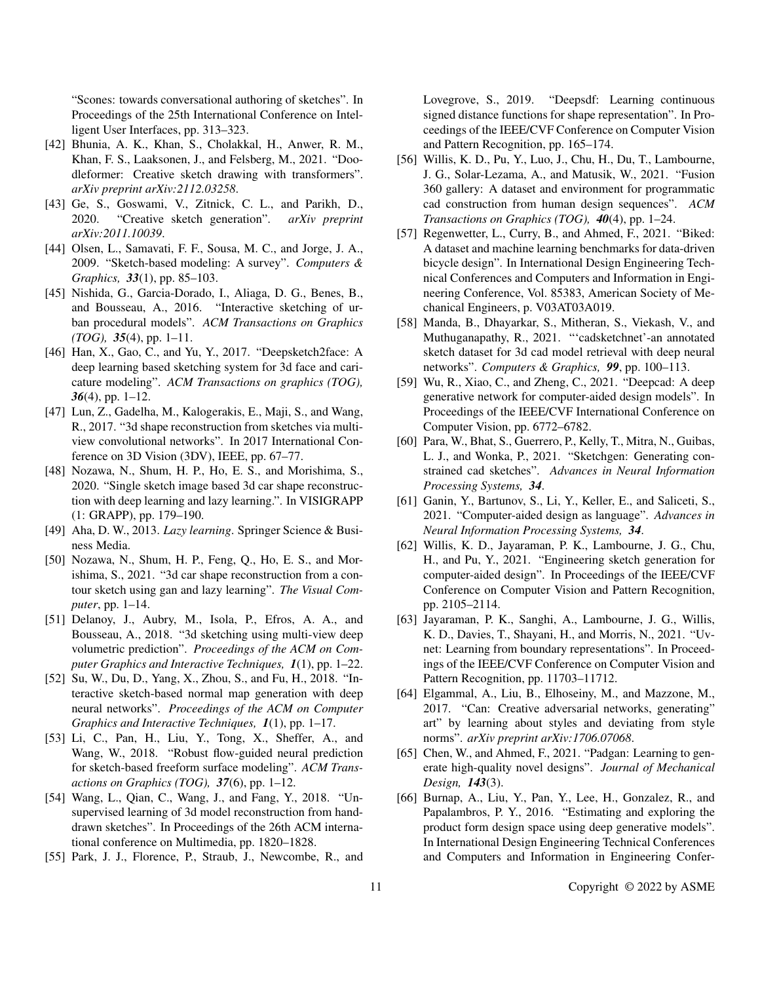"Scones: towards conversational authoring of sketches". In Proceedings of the 25th International Conference on Intelligent User Interfaces, pp. 313–323.

- [42] Bhunia, A. K., Khan, S., Cholakkal, H., Anwer, R. M., Khan, F. S., Laaksonen, J., and Felsberg, M., 2021. "Doodleformer: Creative sketch drawing with transformers". *arXiv preprint arXiv:2112.03258*.
- [43] Ge, S., Goswami, V., Zitnick, C. L., and Parikh, D., 2020. "Creative sketch generation". *arXiv preprint arXiv:2011.10039*.
- [44] Olsen, L., Samavati, F. F., Sousa, M. C., and Jorge, J. A., 2009. "Sketch-based modeling: A survey". *Computers & Graphics, 33*(1), pp. 85–103.
- [45] Nishida, G., Garcia-Dorado, I., Aliaga, D. G., Benes, B., and Bousseau, A., 2016. "Interactive sketching of urban procedural models". *ACM Transactions on Graphics (TOG), 35*(4), pp. 1–11.
- [46] Han, X., Gao, C., and Yu, Y., 2017. "Deepsketch2face: A deep learning based sketching system for 3d face and caricature modeling". *ACM Transactions on graphics (TOG), 36*(4), pp. 1–12.
- [47] Lun, Z., Gadelha, M., Kalogerakis, E., Maji, S., and Wang, R., 2017. "3d shape reconstruction from sketches via multiview convolutional networks". In 2017 International Conference on 3D Vision (3DV), IEEE, pp. 67–77.
- [48] Nozawa, N., Shum, H. P., Ho, E. S., and Morishima, S., 2020. "Single sketch image based 3d car shape reconstruction with deep learning and lazy learning.". In VISIGRAPP (1: GRAPP), pp. 179–190.
- [49] Aha, D. W., 2013. *Lazy learning*. Springer Science & Business Media.
- [50] Nozawa, N., Shum, H. P., Feng, Q., Ho, E. S., and Morishima, S., 2021. "3d car shape reconstruction from a contour sketch using gan and lazy learning". *The Visual Computer*, pp. 1–14.
- [51] Delanoy, J., Aubry, M., Isola, P., Efros, A. A., and Bousseau, A., 2018. "3d sketching using multi-view deep volumetric prediction". *Proceedings of the ACM on Computer Graphics and Interactive Techniques, 1*(1), pp. 1–22.
- [52] Su, W., Du, D., Yang, X., Zhou, S., and Fu, H., 2018. "Interactive sketch-based normal map generation with deep neural networks". *Proceedings of the ACM on Computer Graphics and Interactive Techniques, 1*(1), pp. 1–17.
- [53] Li, C., Pan, H., Liu, Y., Tong, X., Sheffer, A., and Wang, W., 2018. "Robust flow-guided neural prediction for sketch-based freeform surface modeling". *ACM Transactions on Graphics (TOG), 37*(6), pp. 1–12.
- [54] Wang, L., Qian, C., Wang, J., and Fang, Y., 2018. "Unsupervised learning of 3d model reconstruction from handdrawn sketches". In Proceedings of the 26th ACM international conference on Multimedia, pp. 1820–1828.
- [55] Park, J. J., Florence, P., Straub, J., Newcombe, R., and

Lovegrove, S., 2019. "Deepsdf: Learning continuous signed distance functions for shape representation". In Proceedings of the IEEE/CVF Conference on Computer Vision and Pattern Recognition, pp. 165–174.

- [56] Willis, K. D., Pu, Y., Luo, J., Chu, H., Du, T., Lambourne, J. G., Solar-Lezama, A., and Matusik, W., 2021. "Fusion 360 gallery: A dataset and environment for programmatic cad construction from human design sequences". *ACM Transactions on Graphics (TOG), 40*(4), pp. 1–24.
- [57] Regenwetter, L., Curry, B., and Ahmed, F., 2021. "Biked: A dataset and machine learning benchmarks for data-driven bicycle design". In International Design Engineering Technical Conferences and Computers and Information in Engineering Conference, Vol. 85383, American Society of Mechanical Engineers, p. V03AT03A019.
- [58] Manda, B., Dhayarkar, S., Mitheran, S., Viekash, V., and Muthuganapathy, R., 2021. "'cadsketchnet'-an annotated sketch dataset for 3d cad model retrieval with deep neural networks". *Computers & Graphics, 99*, pp. 100–113.
- [59] Wu, R., Xiao, C., and Zheng, C., 2021. "Deepcad: A deep generative network for computer-aided design models". In Proceedings of the IEEE/CVF International Conference on Computer Vision, pp. 6772–6782.
- [60] Para, W., Bhat, S., Guerrero, P., Kelly, T., Mitra, N., Guibas, L. J., and Wonka, P., 2021. "Sketchgen: Generating constrained cad sketches". *Advances in Neural Information Processing Systems, 34*.
- [61] Ganin, Y., Bartunov, S., Li, Y., Keller, E., and Saliceti, S., 2021. "Computer-aided design as language". *Advances in Neural Information Processing Systems, 34*.
- [62] Willis, K. D., Jayaraman, P. K., Lambourne, J. G., Chu, H., and Pu, Y., 2021. "Engineering sketch generation for computer-aided design". In Proceedings of the IEEE/CVF Conference on Computer Vision and Pattern Recognition, pp. 2105–2114.
- [63] Jayaraman, P. K., Sanghi, A., Lambourne, J. G., Willis, K. D., Davies, T., Shayani, H., and Morris, N., 2021. "Uvnet: Learning from boundary representations". In Proceedings of the IEEE/CVF Conference on Computer Vision and Pattern Recognition, pp. 11703–11712.
- [64] Elgammal, A., Liu, B., Elhoseiny, M., and Mazzone, M., 2017. "Can: Creative adversarial networks, generating" art" by learning about styles and deviating from style norms". *arXiv preprint arXiv:1706.07068*.
- [65] Chen, W., and Ahmed, F., 2021. "Padgan: Learning to generate high-quality novel designs". *Journal of Mechanical Design, 143*(3).
- [66] Burnap, A., Liu, Y., Pan, Y., Lee, H., Gonzalez, R., and Papalambros, P. Y., 2016. "Estimating and exploring the product form design space using deep generative models". In International Design Engineering Technical Conferences and Computers and Information in Engineering Confer-